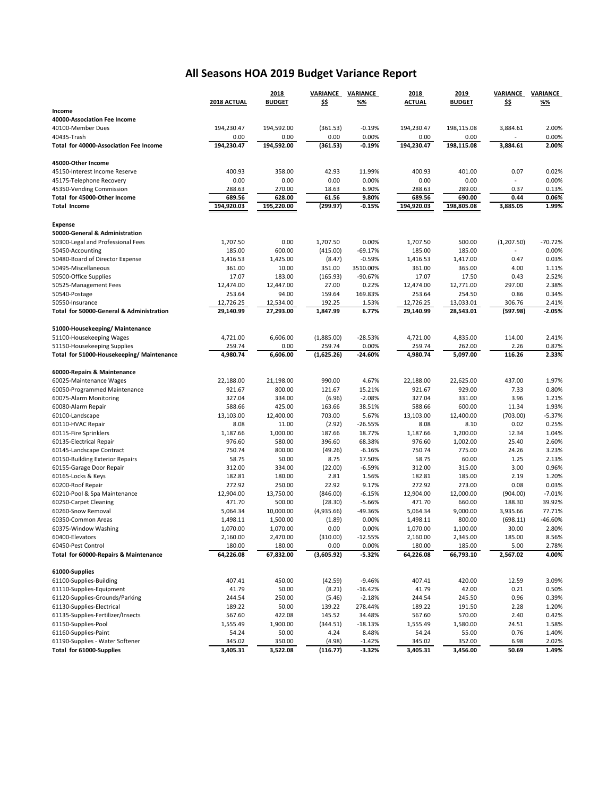## **All Seasons HOA 2019 Budget Variance Report**

|                                                        |                      | 2018                 |                   | VARIANCE VARIANCE     | 2018                 | 2019               | <b>VARIANCE</b>   | <b>VARIANCE</b>   |
|--------------------------------------------------------|----------------------|----------------------|-------------------|-----------------------|----------------------|--------------------|-------------------|-------------------|
|                                                        | 2018 ACTUAL          | <b>BUDGET</b>        | <u>\$\$</u>       | %%                    | <b>ACTUAL</b>        | <b>BUDGET</b>      | \$\$              | <u>%%</u>         |
| Income                                                 |                      |                      |                   |                       |                      |                    |                   |                   |
| 40000-Association Fee Income<br>40100-Member Dues      | 194,230.47           |                      |                   |                       | 194,230.47           |                    |                   | 2.00%             |
| 40435-Trash                                            | 0.00                 | 194,592.00<br>0.00   | (361.53)<br>0.00  | $-0.19%$<br>0.00%     | 0.00                 | 198,115.08<br>0.00 | 3,884.61          | 0.00%             |
| <b>Total for 40000-Association Fee Income</b>          | 194,230.47           | 194,592.00           | (361.53)          | $-0.19%$              | 194,230.47           | 198,115.08         | 3,884.61          | 2.00%             |
|                                                        |                      |                      |                   |                       |                      |                    |                   |                   |
| 45000-Other Income                                     |                      |                      |                   |                       |                      |                    |                   |                   |
| 45150-Interest Income Reserve                          | 400.93               | 358.00               | 42.93             | 11.99%                | 400.93               | 401.00             | 0.07              | 0.02%             |
| 45175-Telephone Recovery                               | 0.00                 | 0.00                 | 0.00              | 0.00%                 | 0.00                 | 0.00               |                   | 0.00%             |
| 45350-Vending Commission                               | 288.63               | 270.00               | 18.63             | 6.90%                 | 288.63               | 289.00             | 0.37              | 0.13%             |
| Total for 45000-Other Income                           | 689.56               | 628.00               | 61.56             | 9.80%                 | 689.56               | 690.00             | 0.44              | 0.06%             |
| <b>Total Income</b>                                    | 194,920.03           | 195,220.00           | (299.97)          | $-0.15%$              | 194,920.03           | 198,805.08         | 3,885.05          | 1.99%             |
| <b>Expense</b>                                         |                      |                      |                   |                       |                      |                    |                   |                   |
| 50000-General & Administration                         |                      |                      |                   |                       |                      |                    |                   |                   |
| 50300-Legal and Professional Fees                      | 1,707.50             | 0.00                 | 1,707.50          | 0.00%                 | 1,707.50             | 500.00             | (1, 207.50)       | $-70.72%$         |
| 50450-Accounting                                       | 185.00               | 600.00               | (415.00)          | $-69.17%$             | 185.00               | 185.00             |                   | 0.00%             |
| 50480-Board of Director Expense                        | 1,416.53             | 1,425.00             | (8.47)            | $-0.59%$              | 1,416.53             | 1,417.00           | 0.47              | 0.03%             |
| 50495-Miscellaneous                                    | 361.00               | 10.00                | 351.00            | 3510.00%              | 361.00               | 365.00             | 4.00              | 1.11%             |
| 50500-Office Supplies                                  | 17.07                | 183.00               | (165.93)          | -90.67%               | 17.07                | 17.50              | 0.43              | 2.52%             |
| 50525-Management Fees                                  | 12,474.00            | 12,447.00            | 27.00             | 0.22%                 | 12,474.00            | 12,771.00          | 297.00            | 2.38%             |
| 50540-Postage                                          | 253.64               | 94.00                | 159.64            | 169.83%               | 253.64               | 254.50             | 0.86              | 0.34%             |
| 50550-Insurance                                        | 12,726.25            | 12,534.00            | 192.25            | 1.53%                 | 12,726.25            | 13,033.01          | 306.76            | 2.41%             |
| Total for 50000-General & Administration               | 29.140.99            | 27,293.00            | 1,847.99          | 6.77%                 | 29.140.99            | 28,543.01          | (597.98)          | $-2.05%$          |
| 51000-Housekeeping/ Maintenance                        |                      |                      |                   |                       |                      |                    |                   |                   |
| 51100-Housekeeping Wages                               | 4,721.00             | 6,606.00             | (1,885.00)        | $-28.53%$             | 4.721.00             | 4,835.00           | 114.00            | 2.41%             |
| 51150-Housekeeping Supplies                            | 259.74               | 0.00                 | 259.74            | 0.00%                 | 259.74               | 262.00             | 2.26              | 0.87%             |
| Total for 51000-Housekeeping/ Maintenance              | 4,980.74             | 6,606.00             | (1,625.26)        | $-24.60%$             | 4,980.74             | 5,097.00           | 116.26            | 2.33%             |
|                                                        |                      |                      |                   |                       |                      |                    |                   |                   |
| 60000-Repairs & Maintenance<br>60025-Maintenance Wages | 22,188.00            | 21,198.00            | 990.00            | 4.67%                 | 22,188.00            | 22,625.00          | 437.00            | 1.97%             |
| 60050-Programmed Maintenance                           | 921.67               | 800.00               | 121.67            | 15.21%                | 921.67               | 929.00             | 7.33              | 0.80%             |
| 60075-Alarm Monitoring                                 | 327.04               | 334.00               | (6.96)            | $-2.08%$              | 327.04               | 331.00             | 3.96              | 1.21%             |
| 60080-Alarm Repair                                     | 588.66               | 425.00               | 163.66            | 38.51%                | 588.66               | 600.00             | 11.34             | 1.93%             |
| 60100-Landscape                                        | 13,103.00            | 12,400.00            | 703.00            | 5.67%                 | 13,103.00            | 12,400.00          | (703.00)          | $-5.37%$          |
| 60110-HVAC Repair                                      | 8.08                 | 11.00                | (2.92)            | $-26.55%$             | 8.08                 | 8.10               | 0.02              | 0.25%             |
| 60115-Fire Sprinklers                                  | 1,187.66             | 1,000.00             | 187.66            | 18.77%                | 1,187.66             | 1,200.00           | 12.34             | 1.04%             |
| 60135-Electrical Repair                                | 976.60               | 580.00               | 396.60            | 68.38%                | 976.60               | 1,002.00           | 25.40             | 2.60%             |
| 60145-Landscape Contract                               | 750.74               | 800.00               | (49.26)           | $-6.16%$              | 750.74               | 775.00             | 24.26             | 3.23%             |
| 60150-Building Exterior Repairs                        | 58.75                | 50.00                | 8.75              | 17.50%                | 58.75                | 60.00              | 1.25              | 2.13%             |
| 60155-Garage Door Repair                               | 312.00               | 334.00               | (22.00)           | $-6.59%$              | 312.00               | 315.00             | 3.00              | 0.96%             |
| 60165-Locks & Keys                                     | 182.81               | 180.00               | 2.81              | 1.56%                 | 182.81               | 185.00             | 2.19              | 1.20%             |
| 60200-Roof Repair                                      | 272.92               | 250.00               | 22.92             | 9.17%                 | 272.92               | 273.00             | 0.08              | 0.03%             |
| 60210-Pool & Spa Maintenance                           | 12,904.00            | 13,750.00            | (846.00)          | $-6.15%$              | 12,904.00            | 12,000.00          | (904.00)          | $-7.01%$          |
| 60250-Carpet Cleaning                                  | 471.70               | 500.00               | (28.30)           | $-5.66%$              | 471.70               | 660.00             | 188.30            | 39.92%            |
| 60260-Snow Removal<br>60350-Common Areas               | 5,064.34             | 10,000.00            | (4,935.66)        | -49.36%               | 5,064.34             | 9,000.00<br>800.00 | 3,935.66          | 77.71%<br>-46.60% |
| 60375-Window Washing                                   | 1,498.11<br>1,070.00 | 1,500.00<br>1,070.00 | (1.89)<br>0.00    | 0.00%<br>0.00%        | 1,498.11<br>1,070.00 | 1,100.00           | (698.11)<br>30.00 | 2.80%             |
| 60400-Elevators                                        | 2,160.00             | 2,470.00             | (310.00)          | $-12.55%$             | 2,160.00             | 2,345.00           | 185.00            | 8.56%             |
| 60450-Pest Control                                     | 180.00               | 180.00               | 0.00              | 0.00%                 | 180.00               | 185.00             | 5.00              | 2.78%             |
| Total for 60000-Repairs & Maintenance                  | 64,226.08            | 67,832.00            | (3,605.92)        | -5.32%                | 64,226.08            | 66,793.10          | 2,567.02          | 4.00%             |
|                                                        |                      |                      |                   |                       |                      |                    |                   |                   |
| 61000-Supplies<br>61100-Supplies-Building              |                      |                      |                   |                       | 407.41               | 420.00             | 12.59             | 3.09%             |
| 61110-Supplies-Equipment                               | 407.41<br>41.79      | 450.00<br>50.00      | (42.59)<br>(8.21) | $-9.46%$<br>$-16.42%$ | 41.79                | 42.00              | 0.21              | 0.50%             |
| 61120-Supplies-Grounds/Parking                         | 244.54               | 250.00               | (5.46)            | $-2.18%$              | 244.54               | 245.50             | 0.96              | 0.39%             |
| 61130-Supplies-Electrical                              | 189.22               | 50.00                | 139.22            | 278.44%               | 189.22               | 191.50             | 2.28              | 1.20%             |
| 61135-Supplies-Fertilizer/Insects                      | 567.60               | 422.08               | 145.52            | 34.48%                | 567.60               | 570.00             | 2.40              | 0.42%             |
| 61150-Supplies-Pool                                    | 1,555.49             | 1,900.00             | (344.51)          | $-18.13%$             | 1,555.49             | 1,580.00           | 24.51             | 1.58%             |
| 61160-Supplies-Paint                                   | 54.24                | 50.00                | 4.24              | 8.48%                 | 54.24                | 55.00              | 0.76              | 1.40%             |
| 61190-Supplies - Water Softener                        | 345.02               | 350.00               | (4.98)            | $-1.42%$              | 345.02               | 352.00             | 6.98              | 2.02%             |
| Total for 61000-Supplies                               | 3,405.31             | 3,522.08             | (116.77)          | $-3.32%$              | 3,405.31             | 3,456.00           | 50.69             | 1.49%             |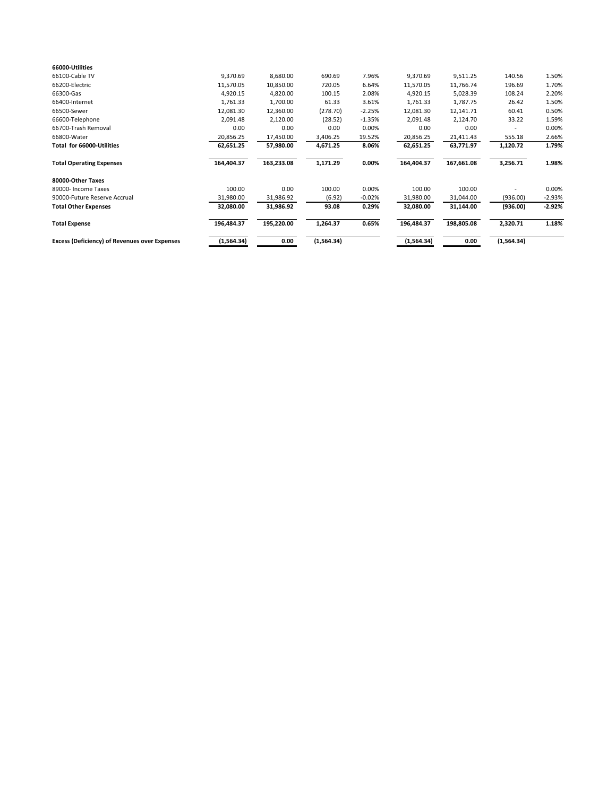| 66000-Utilities                               |            |            |            |          |            |            |            |          |
|-----------------------------------------------|------------|------------|------------|----------|------------|------------|------------|----------|
| 66100-Cable TV                                | 9,370.69   | 8,680.00   | 690.69     | 7.96%    | 9,370.69   | 9,511.25   | 140.56     | 1.50%    |
| 66200-Electric                                | 11,570.05  | 10,850.00  | 720.05     | 6.64%    | 11,570.05  | 11,766.74  | 196.69     | 1.70%    |
| 66300-Gas                                     | 4,920.15   | 4,820.00   | 100.15     | 2.08%    | 4,920.15   | 5,028.39   | 108.24     | 2.20%    |
| 66400-Internet                                | 1,761.33   | 1,700.00   | 61.33      | 3.61%    | 1,761.33   | 1,787.75   | 26.42      | 1.50%    |
| 66500-Sewer                                   | 12,081.30  | 12,360.00  | (278.70)   | $-2.25%$ | 12,081.30  | 12,141.71  | 60.41      | 0.50%    |
| 66600-Telephone                               | 2,091.48   | 2,120.00   | (28.52)    | $-1.35%$ | 2,091.48   | 2,124.70   | 33.22      | 1.59%    |
| 66700-Trash Removal                           | 0.00       | 0.00       | 0.00       | 0.00%    | 0.00       | 0.00       |            | 0.00%    |
| 66800-Water                                   | 20,856.25  | 17,450.00  | 3,406.25   | 19.52%   | 20,856.25  | 21,411.43  | 555.18     | 2.66%    |
| Total for 66000-Utilities                     | 62,651.25  | 57,980.00  | 4,671.25   | 8.06%    | 62,651.25  | 63,771.97  | 1,120.72   | 1.79%    |
| <b>Total Operating Expenses</b>               | 164,404.37 | 163,233.08 | 1,171.29   | 0.00%    | 164,404.37 | 167,661.08 | 3,256.71   | 1.98%    |
| 80000-Other Taxes                             |            |            |            |          |            |            |            |          |
| 89000- Income Taxes                           | 100.00     | 0.00       | 100.00     | 0.00%    | 100.00     | 100.00     |            | 0.00%    |
| 90000-Future Reserve Accrual                  | 31,980.00  | 31,986.92  | (6.92)     | $-0.02%$ | 31,980.00  | 31,044.00  | (936.00)   | $-2.93%$ |
| <b>Total Other Expenses</b>                   | 32,080.00  | 31,986.92  | 93.08      | 0.29%    | 32,080.00  | 31,144.00  | (936.00)   | -2.92%   |
| <b>Total Expense</b>                          | 196,484.37 | 195,220.00 | 1,264.37   | 0.65%    | 196,484.37 | 198,805.08 | 2,320.71   | 1.18%    |
| Excess (Deficiency) of Revenues over Expenses | (1,564.34) | 0.00       | (1,564.34) |          | (1,564.34) | 0.00       | (1,564.34) |          |